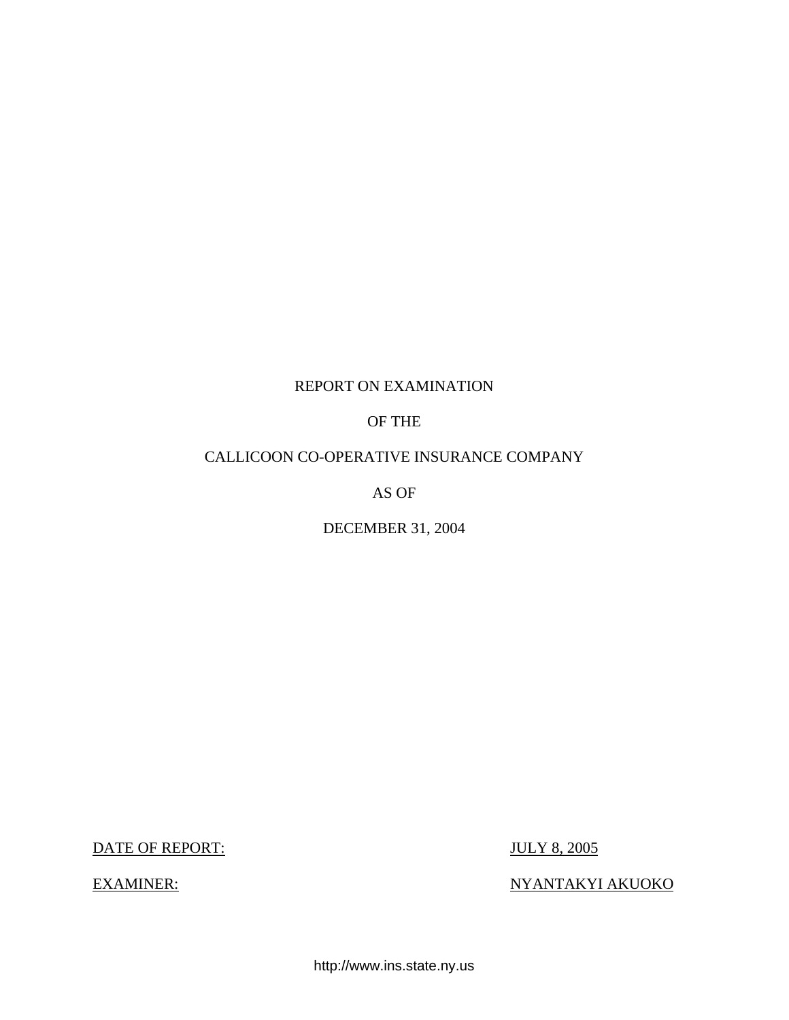# REPORT ON EXAMINATION

# OF THE

# CALLICOON CO-OPERATIVE INSURANCE COMPANY

AS OF

DECEMBER 31, 2004

DATE OF REPORT: JULY 8, 2005

EXAMINER: NYANTAKYI AKUOKO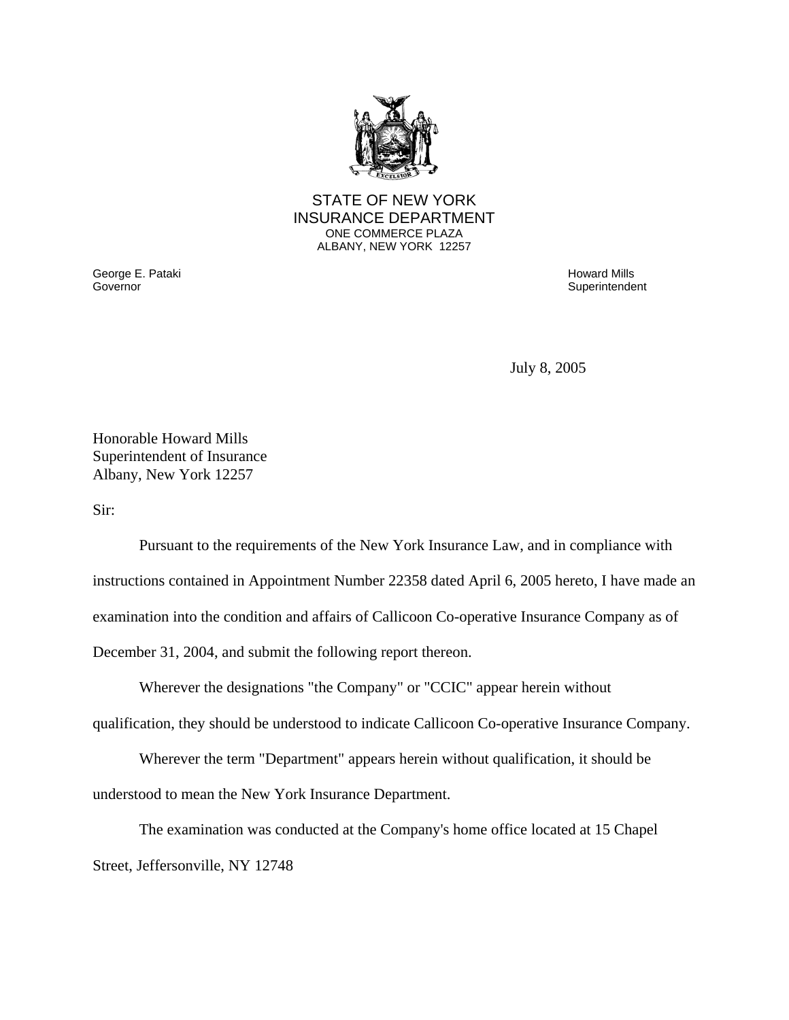

#### STATE OF NEW YORK INSURANCE DEPARTMENT ONE COMMERCE PLAZA ALBANY, NEW YORK 12257

George E. Pataki Howard Mills

Superintendent

July 8, 2005

Honorable Howard Mills Superintendent of Insurance Albany, New York 12257

Sir:

Pursuant to the requirements of the New York Insurance Law, and in compliance with instructions contained in Appointment Number 22358 dated April 6, 2005 hereto, I have made an examination into the condition and affairs of Callicoon Co-operative Insurance Company as of December 31, 2004, and submit the following report thereon.

Wherever the designations "the Company" or "CCIC" appear herein without qualification, they should be understood to indicate Callicoon Co-operative Insurance Company.

Wherever the term "Department" appears herein without qualification, it should be understood to mean the New York Insurance Department.

The examination was conducted at the Company's home office located at 15 Chapel Street, Jeffersonville, NY 12748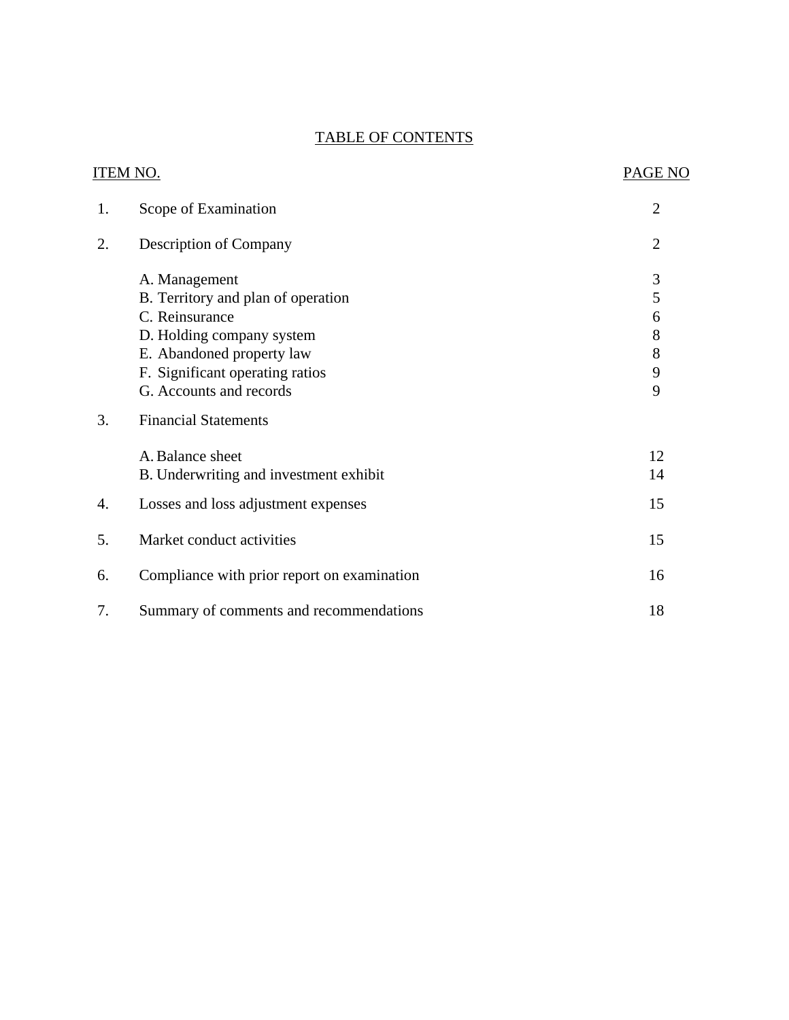# TABLE OF CONTENTS

| <b>ITEM NO.</b> |                                             | PAGE NO        |
|-----------------|---------------------------------------------|----------------|
| 1.              | Scope of Examination                        | $\overline{c}$ |
| 2.              | <b>Description of Company</b>               | $\overline{2}$ |
|                 | A. Management                               | 3              |
|                 | B. Territory and plan of operation          | 5              |
|                 | C. Reinsurance                              | 6              |
|                 | D. Holding company system                   | 8              |
|                 | E. Abandoned property law                   | 8              |
|                 | F. Significant operating ratios             | 9              |
|                 | G. Accounts and records                     | 9              |
| 3.              | <b>Financial Statements</b>                 |                |
|                 | A. Balance sheet                            | 12             |
|                 | B. Underwriting and investment exhibit      | 14             |
| 4.              | Losses and loss adjustment expenses         | 15             |
| 5.              | Market conduct activities                   | 15             |
| 6.              | Compliance with prior report on examination | 16             |
| 7.              | Summary of comments and recommendations     | 18             |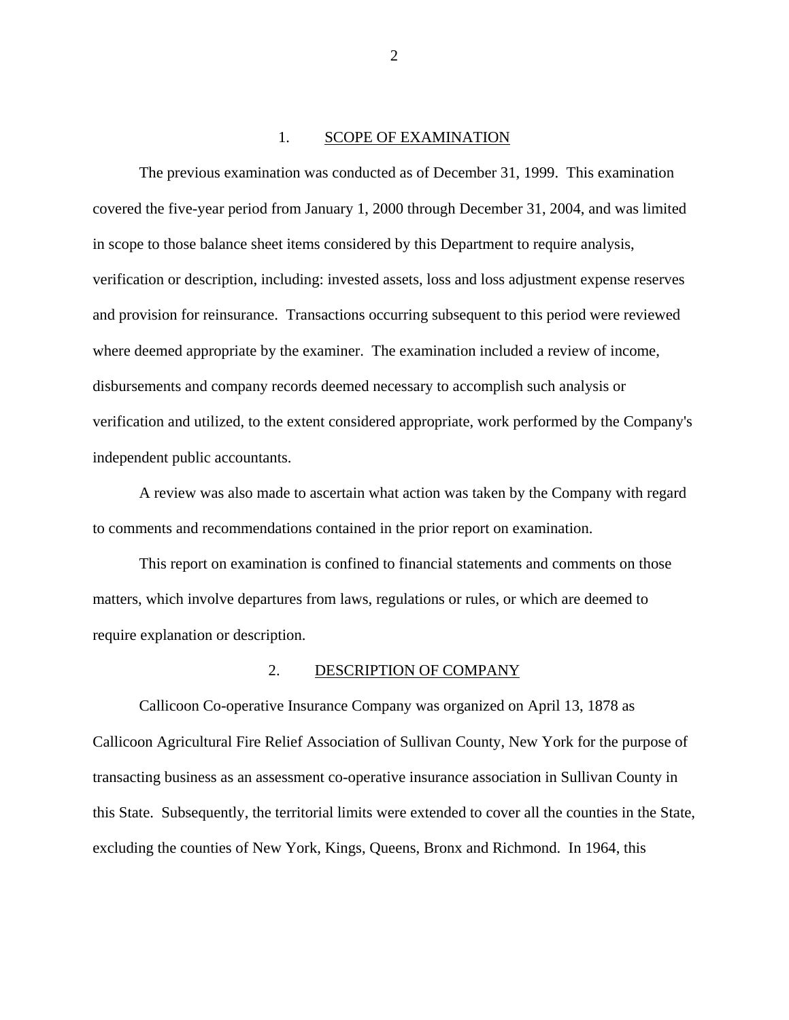#### 1. SCOPE OF EXAMINATION

<span id="page-3-0"></span>The previous examination was conducted as of December 31, 1999. This examination covered the five-year period from January 1, 2000 through December 31, 2004, and was limited in scope to those balance sheet items considered by this Department to require analysis, verification or description, including: invested assets, loss and loss adjustment expense reserves and provision for reinsurance. Transactions occurring subsequent to this period were reviewed where deemed appropriate by the examiner. The examination included a review of income, disbursements and company records deemed necessary to accomplish such analysis or verification and utilized, to the extent considered appropriate, work performed by the Company's independent public accountants.

A review was also made to ascertain what action was taken by the Company with regard to comments and recommendations contained in the prior report on examination.

This report on examination is confined to financial statements and comments on those matters, which involve departures from laws, regulations or rules, or which are deemed to require explanation or description.

#### 2. DESCRIPTION OF COMPANY

Callicoon Co-operative Insurance Company was organized on April 13, 1878 as Callicoon Agricultural Fire Relief Association of Sullivan County, New York for the purpose of transacting business as an assessment co-operative insurance association in Sullivan County in this State. Subsequently, the territorial limits were extended to cover all the counties in the State, excluding the counties of New York, Kings, Queens, Bronx and Richmond. In 1964, this

2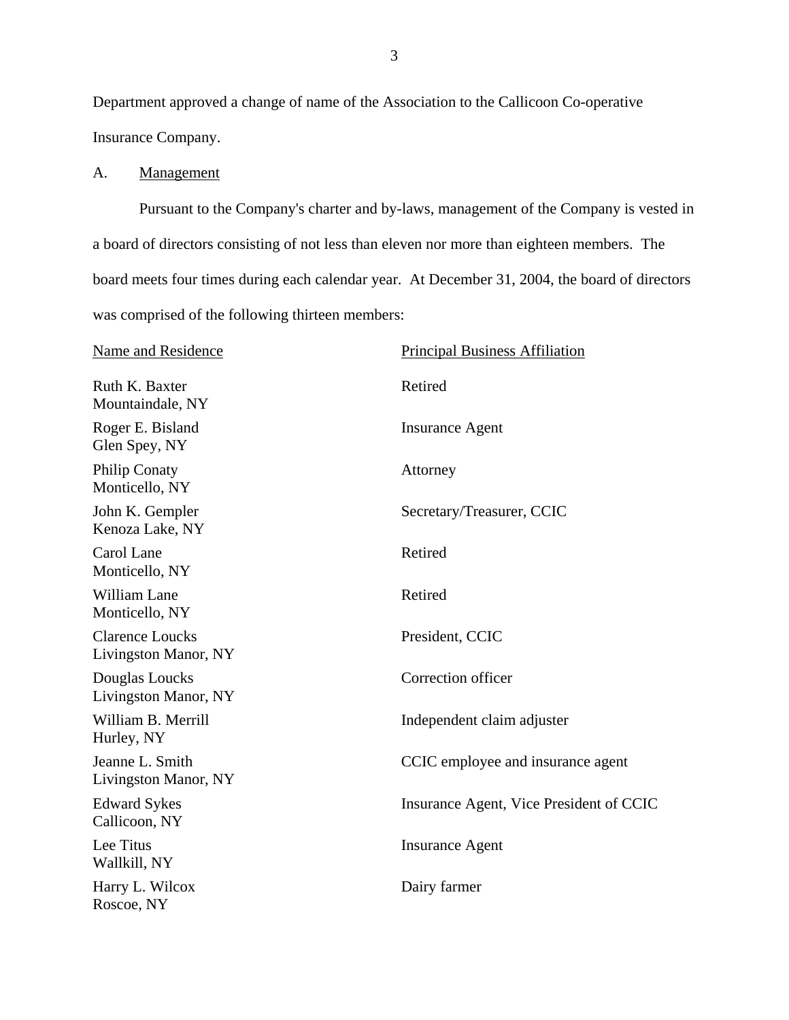<span id="page-4-0"></span>Department approved a change of name of the Association to the Callicoon Co-operative Insurance Company.

## A. Management

Pursuant to the Company's charter and by-laws, management of the Company is vested in a board of directors consisting of not less than eleven nor more than eighteen members. The board meets four times during each calendar year. At December 31, 2004, the board of directors was comprised of the following thirteen members:

| Name and Residence                             | <b>Principal Business Affiliation</b>   |
|------------------------------------------------|-----------------------------------------|
| Ruth K. Baxter<br>Mountaindale, NY             | Retired                                 |
| Roger E. Bisland<br>Glen Spey, NY              | <b>Insurance Agent</b>                  |
| <b>Philip Conaty</b><br>Monticello, NY         | Attorney                                |
| John K. Gempler<br>Kenoza Lake, NY             | Secretary/Treasurer, CCIC               |
| Carol Lane<br>Monticello, NY                   | Retired                                 |
| William Lane<br>Monticello, NY                 | Retired                                 |
| <b>Clarence Loucks</b><br>Livingston Manor, NY | President, CCIC                         |
| Douglas Loucks<br>Livingston Manor, NY         | Correction officer                      |
| William B. Merrill<br>Hurley, NY               | Independent claim adjuster              |
| Jeanne L. Smith<br>Livingston Manor, NY        | CCIC employee and insurance agent       |
| <b>Edward Sykes</b><br>Callicoon, NY           | Insurance Agent, Vice President of CCIC |
| Lee Titus<br>Wallkill, NY                      | <b>Insurance Agent</b>                  |
| Harry L. Wilcox<br>Roscoe, NY                  | Dairy farmer                            |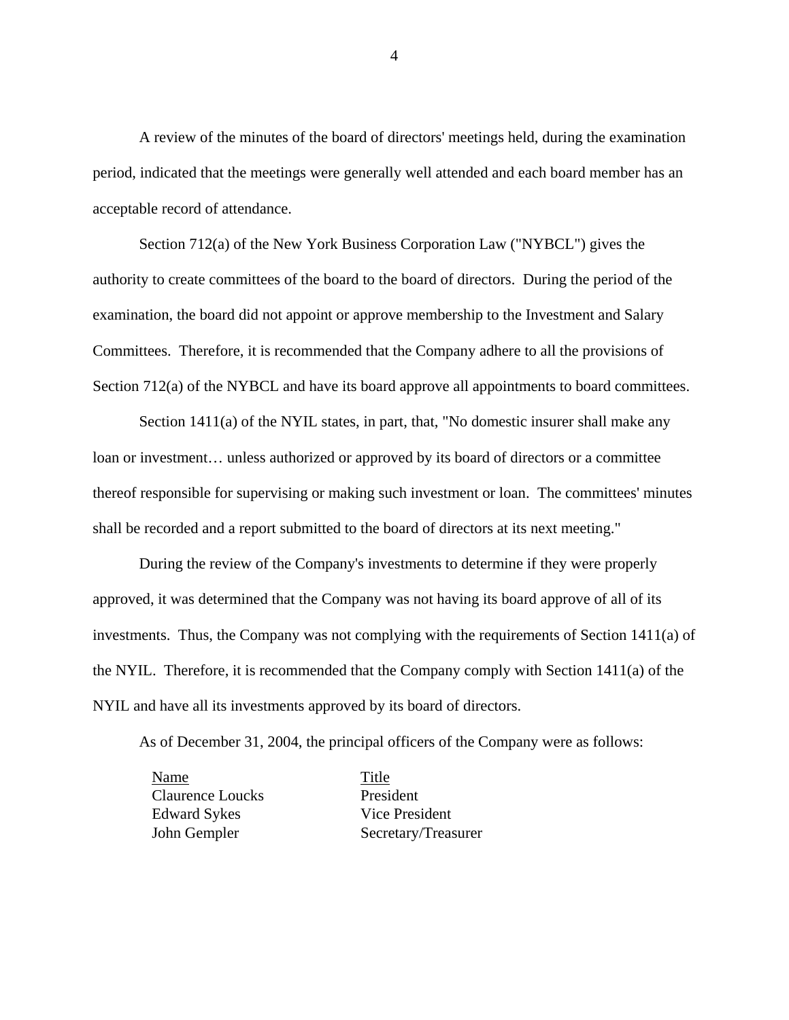A review of the minutes of the board of directors' meetings held, during the examination period, indicated that the meetings were generally well attended and each board member has an acceptable record of attendance.

Section 712(a) of the New York Business Corporation Law ("NYBCL") gives the authority to create committees of the board to the board of directors. During the period of the examination, the board did not appoint or approve membership to the Investment and Salary Committees. Therefore, it is recommended that the Company adhere to all the provisions of Section 712(a) of the NYBCL and have its board approve all appointments to board committees.

Section 1411(a) of the NYIL states, in part, that, "No domestic insurer shall make any loan or investment… unless authorized or approved by its board of directors or a committee thereof responsible for supervising or making such investment or loan. The committees' minutes shall be recorded and a report submitted to the board of directors at its next meeting."

During the review of the Company's investments to determine if they were properly approved, it was determined that the Company was not having its board approve of all of its investments. Thus, the Company was not complying with the requirements of Section 1411(a) of the NYIL. Therefore, it is recommended that the Company comply with Section 1411(a) of the NYIL and have all its investments approved by its board of directors.

As of December 31, 2004, the principal officers of the Company were as follows:

Name Title Claurence Loucks President Edward Sykes Vice President

John Gempler Secretary/Treasurer

4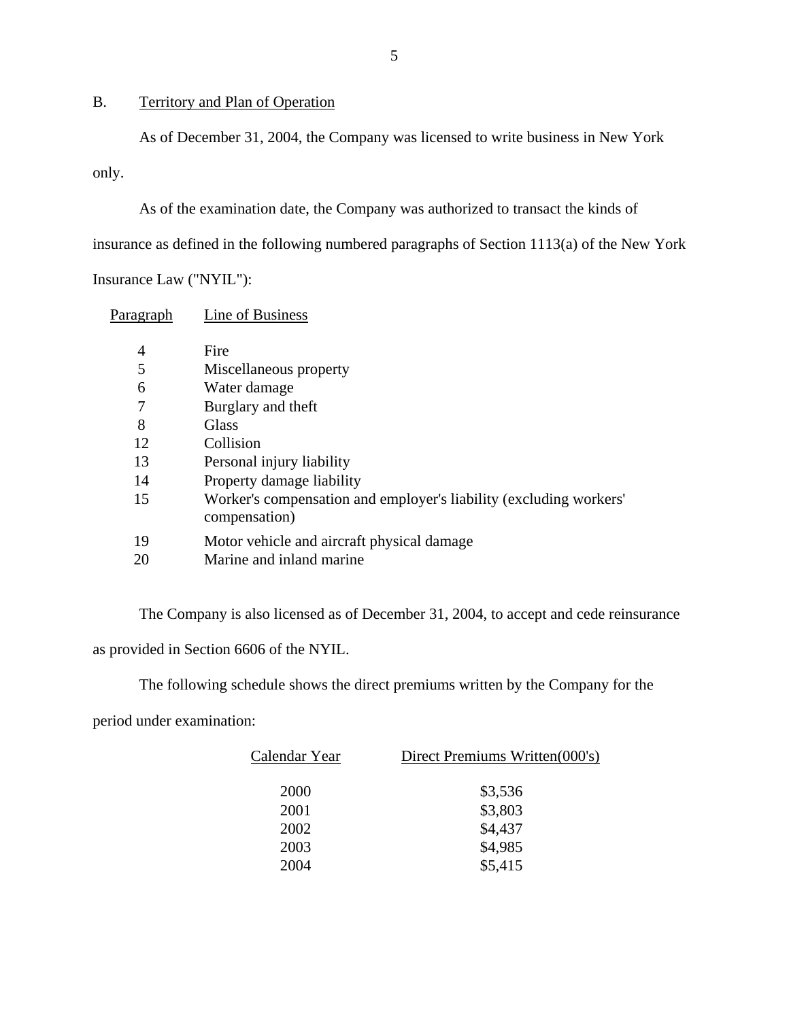# <span id="page-6-0"></span>B. Territory and Plan of Operation

As of December 31, 2004, the Company was licensed to write business in New York

only.

As of the examination date, the Company was authorized to transact the kinds of

insurance as defined in the following numbered paragraphs of Section 1113(a) of the New York

Insurance Law ("NYIL"):

| P <u>aragraph</u> | Line of Business                                                                    |
|-------------------|-------------------------------------------------------------------------------------|
| 4                 | Fire                                                                                |
| 5                 | Miscellaneous property                                                              |
| 6                 | Water damage                                                                        |
| 7                 | Burglary and theft                                                                  |
| 8                 | Glass                                                                               |
| 12                | Collision                                                                           |
| 13                | Personal injury liability                                                           |
| 14                | Property damage liability                                                           |
| 15                | Worker's compensation and employer's liability (excluding workers'<br>compensation) |
| 19                | Motor vehicle and aircraft physical damage                                          |
| 20                | Marine and inland marine                                                            |

The Company is also licensed as of December 31, 2004, to accept and cede reinsurance as provided in Section 6606 of the NYIL.

The following schedule shows the direct premiums written by the Company for the

period under examination:

| Calendar Year | Direct Premiums Written(000's) |
|---------------|--------------------------------|
| 2000          | \$3,536                        |
| 2001          | \$3,803                        |
| 2002          | \$4,437                        |
| 2003          | \$4,985                        |
| 2004          | \$5,415                        |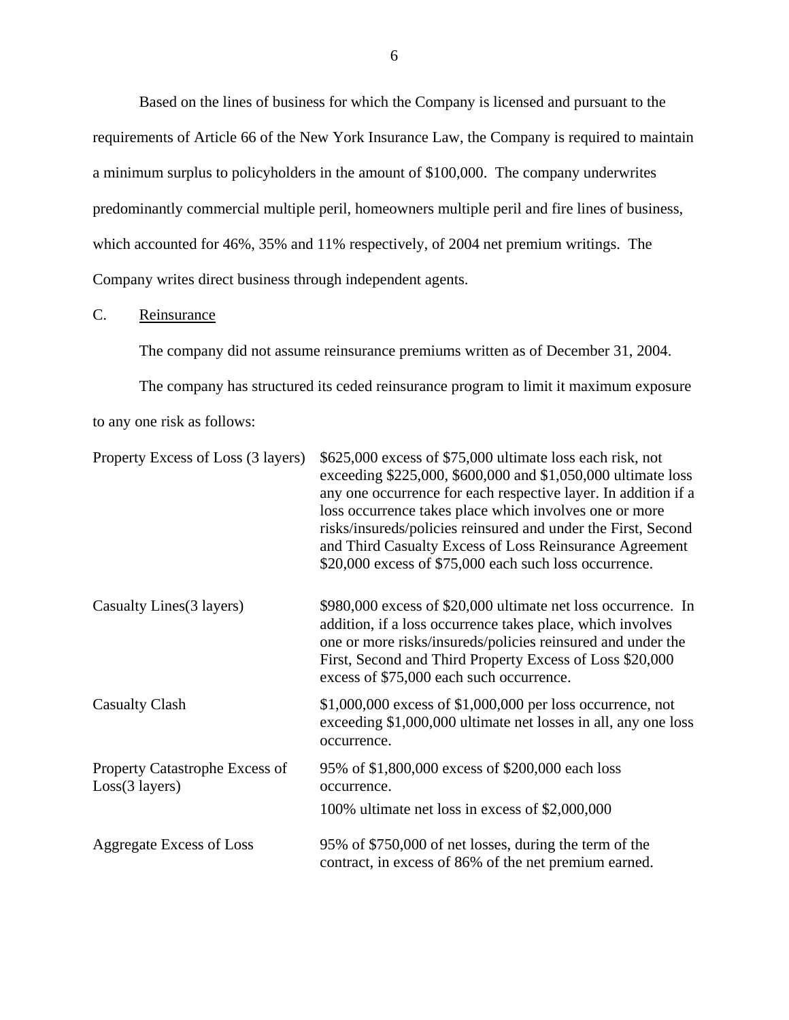<span id="page-7-0"></span>Based on the lines of business for which the Company is licensed and pursuant to the requirements of Article 66 of the New York Insurance Law, the Company is required to maintain a minimum surplus to policyholders in the amount of \$100,000. The company underwrites predominantly commercial multiple peril, homeowners multiple peril and fire lines of business, which accounted for 46%, 35% and 11% respectively, of 2004 net premium writings. The Company writes direct business through independent agents.

## C. Reinsurance

The company did not assume reinsurance premiums written as of December 31, 2004.

The company has structured its ceded reinsurance program to limit it maximum exposure

to any one risk as follows:

| Property Excess of Loss (3 layers)               | \$625,000 excess of \$75,000 ultimate loss each risk, not<br>exceeding \$225,000, \$600,000 and \$1,050,000 ultimate loss<br>any one occurrence for each respective layer. In addition if a<br>loss occurrence takes place which involves one or more<br>risks/insureds/policies reinsured and under the First, Second<br>and Third Casualty Excess of Loss Reinsurance Agreement<br>\$20,000 excess of \$75,000 each such loss occurrence. |
|--------------------------------------------------|---------------------------------------------------------------------------------------------------------------------------------------------------------------------------------------------------------------------------------------------------------------------------------------------------------------------------------------------------------------------------------------------------------------------------------------------|
| Casualty Lines (3 layers)                        | \$980,000 excess of \$20,000 ultimate net loss occurrence. In<br>addition, if a loss occurrence takes place, which involves<br>one or more risks/insureds/policies reinsured and under the<br>First, Second and Third Property Excess of Loss \$20,000<br>excess of \$75,000 each such occurrence.                                                                                                                                          |
| <b>Casualty Clash</b>                            | $$1,000,000$ excess of $$1,000,000$ per loss occurrence, not<br>exceeding \$1,000,000 ultimate net losses in all, any one loss<br>occurrence.                                                                                                                                                                                                                                                                                               |
| Property Catastrophe Excess of<br>Loss(3 layers) | 95% of \$1,800,000 excess of \$200,000 each loss<br>occurrence.                                                                                                                                                                                                                                                                                                                                                                             |
|                                                  | 100% ultimate net loss in excess of \$2,000,000                                                                                                                                                                                                                                                                                                                                                                                             |
| <b>Aggregate Excess of Loss</b>                  | 95% of \$750,000 of net losses, during the term of the<br>contract, in excess of 86% of the net premium earned.                                                                                                                                                                                                                                                                                                                             |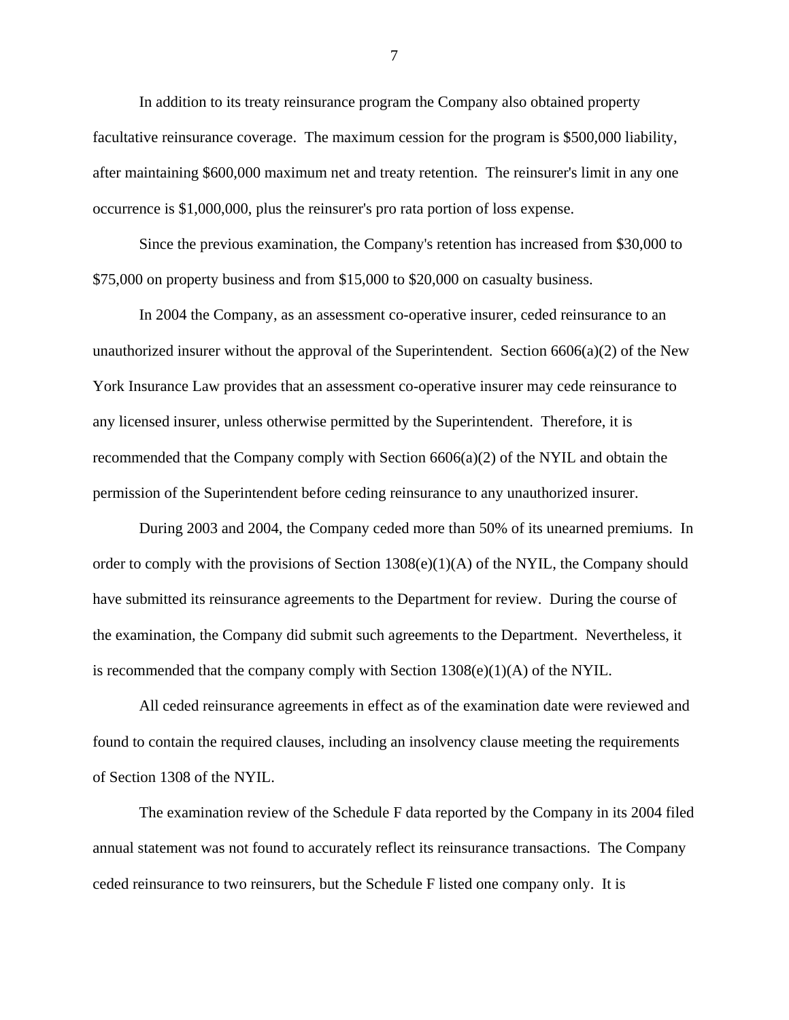In addition to its treaty reinsurance program the Company also obtained property facultative reinsurance coverage. The maximum cession for the program is \$500,000 liability, after maintaining \$600,000 maximum net and treaty retention. The reinsurer's limit in any one occurrence is \$1,000,000, plus the reinsurer's pro rata portion of loss expense.

Since the previous examination, the Company's retention has increased from \$30,000 to \$75,000 on property business and from \$15,000 to \$20,000 on casualty business.

In 2004 the Company, as an assessment co-operative insurer, ceded reinsurance to an unauthorized insurer without the approval of the Superintendent. Section  $6606(a)(2)$  of the New York Insurance Law provides that an assessment co-operative insurer may cede reinsurance to any licensed insurer, unless otherwise permitted by the Superintendent. Therefore, it is recommended that the Company comply with Section  $6606(a)(2)$  of the NYIL and obtain the permission of the Superintendent before ceding reinsurance to any unauthorized insurer.

During 2003 and 2004, the Company ceded more than 50% of its unearned premiums. In order to comply with the provisions of Section  $1308(e)(1)(A)$  of the NYIL, the Company should have submitted its reinsurance agreements to the Department for review. During the course of the examination, the Company did submit such agreements to the Department. Nevertheless, it is recommended that the company comply with Section  $1308(e)(1)(A)$  of the NYIL.

All ceded reinsurance agreements in effect as of the examination date were reviewed and found to contain the required clauses, including an insolvency clause meeting the requirements of Section 1308 of the NYIL.

The examination review of the Schedule F data reported by the Company in its 2004 filed annual statement was not found to accurately reflect its reinsurance transactions. The Company ceded reinsurance to two reinsurers, but the Schedule F listed one company only. It is

7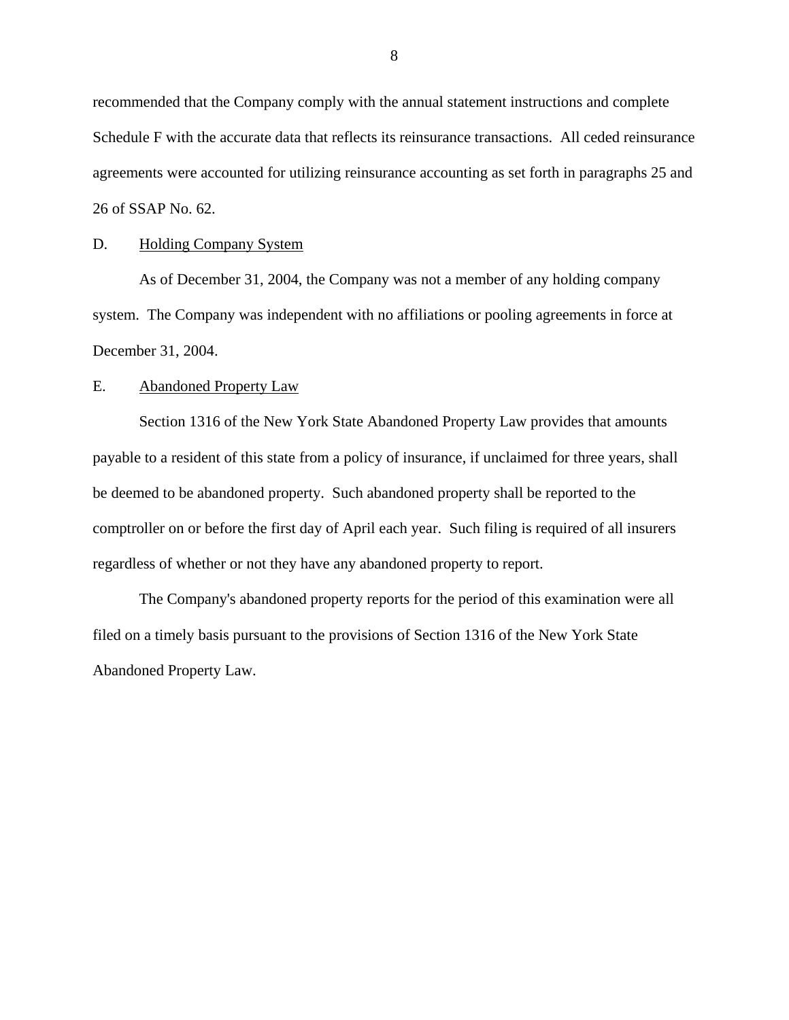<span id="page-9-0"></span>recommended that the Company comply with the annual statement instructions and complete Schedule F with the accurate data that reflects its reinsurance transactions. All ceded reinsurance agreements were accounted for utilizing reinsurance accounting as set forth in paragraphs 25 and 26 of SSAP No. 62.

#### D. Holding Company System

As of December 31, 2004, the Company was not a member of any holding company system. The Company was independent with no affiliations or pooling agreements in force at December 31, 2004.

## E. Abandoned Property Law

Section 1316 of the New York State Abandoned Property Law provides that amounts payable to a resident of this state from a policy of insurance, if unclaimed for three years, shall be deemed to be abandoned property. Such abandoned property shall be reported to the comptroller on or before the first day of April each year. Such filing is required of all insurers regardless of whether or not they have any abandoned property to report.

The Company's abandoned property reports for the period of this examination were all filed on a timely basis pursuant to the provisions of Section 1316 of the New York State Abandoned Property Law.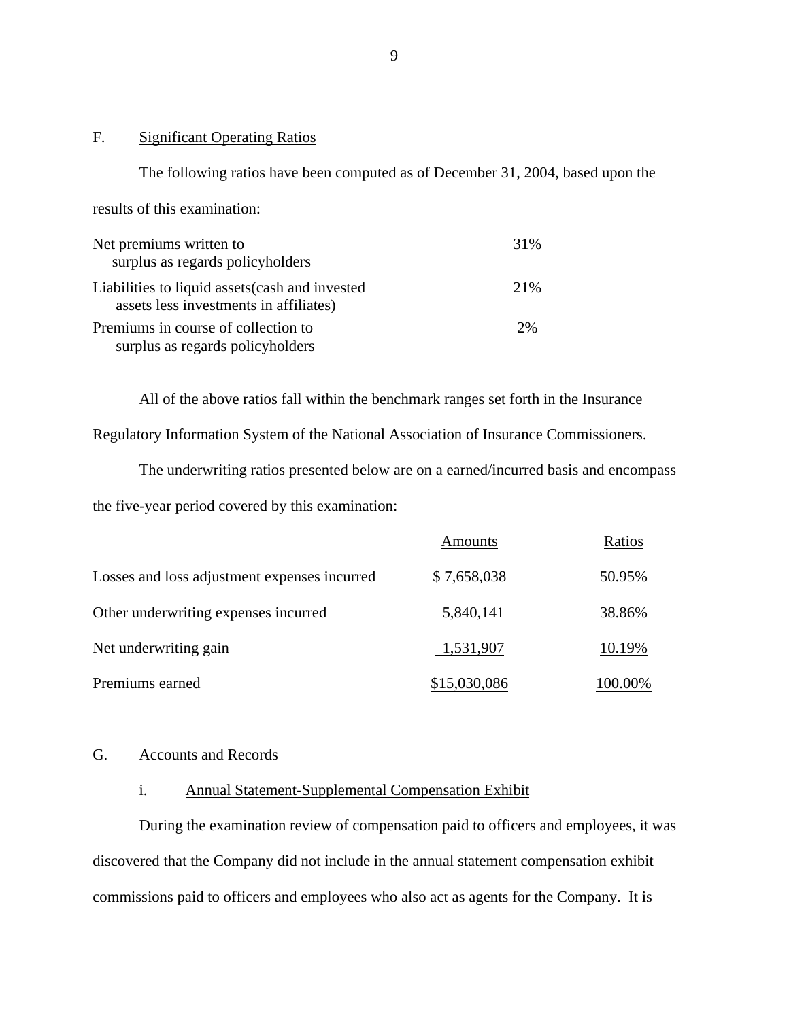## F. Significant Operating Ratios

The following ratios have been computed as of December 31, 2004, based upon the results of this examination: Net premiums written to 31% surplus as regards policyholders Liabilities to liquid assets(cash and invested 21% assets less investments in affiliates) Premiums in course of collection to 2% surplus as regards policyholders

All of the above ratios fall within the benchmark ranges set forth in the Insurance Regulatory Information System of the National Association of Insurance Commissioners.

The underwriting ratios presented below are on a earned/incurred basis and encompass the five-year period covered by this examination:

|                                              | Amounts      | Ratios  |
|----------------------------------------------|--------------|---------|
| Losses and loss adjustment expenses incurred | \$7,658,038  | 50.95%  |
| Other underwriting expenses incurred         | 5,840,141    | 38.86%  |
| Net underwriting gain                        | 1,531,907    | 10.19%  |
| Premiums earned                              | \$15,030,086 | 100.00% |

## G. Accounts and Records

## i. Annual Statement-Supplemental Compensation Exhibit

During the examination review of compensation paid to officers and employees, it was discovered that the Company did not include in the annual statement compensation exhibit commissions paid to officers and employees who also act as agents for the Company. It is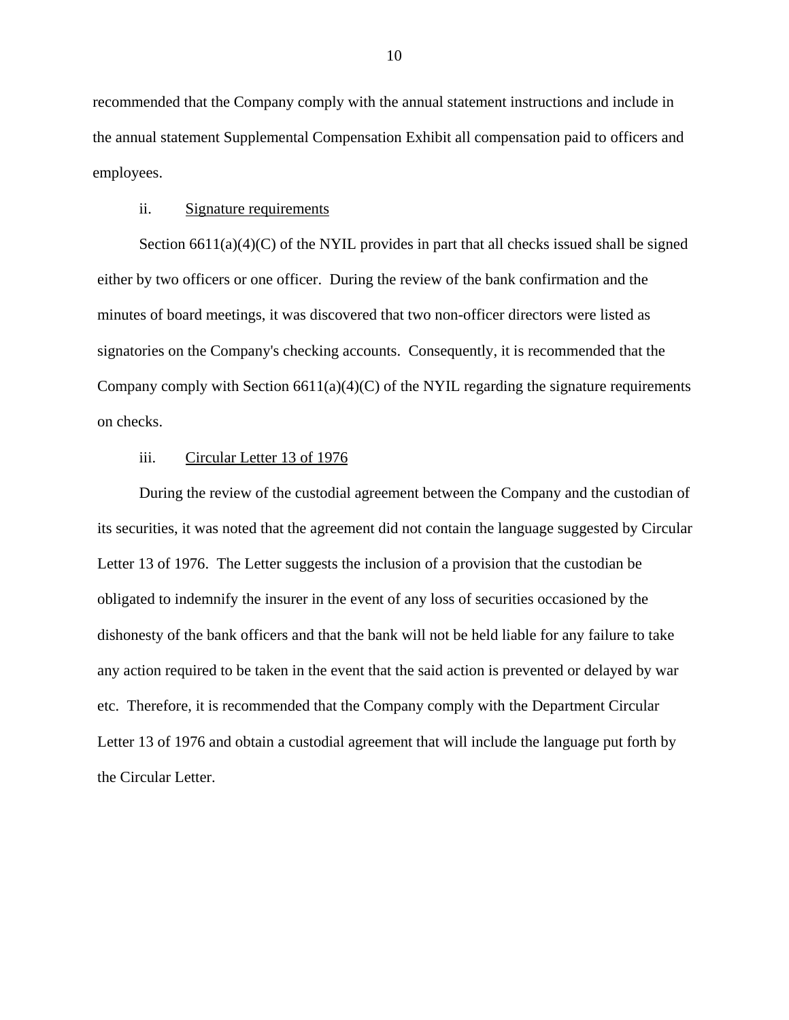recommended that the Company comply with the annual statement instructions and include in the annual statement Supplemental Compensation Exhibit all compensation paid to officers and employees.

#### ii. Signature requirements

Section  $6611(a)(4)(C)$  of the NYIL provides in part that all checks issued shall be signed either by two officers or one officer. During the review of the bank confirmation and the minutes of board meetings, it was discovered that two non-officer directors were listed as signatories on the Company's checking accounts. Consequently, it is recommended that the Company comply with Section  $6611(a)(4)(C)$  of the NYIL regarding the signature requirements on checks.

#### iii. Circular Letter 13 of 1976

During the review of the custodial agreement between the Company and the custodian of its securities, it was noted that the agreement did not contain the language suggested by Circular Letter 13 of 1976. The Letter suggests the inclusion of a provision that the custodian be obligated to indemnify the insurer in the event of any loss of securities occasioned by the dishonesty of the bank officers and that the bank will not be held liable for any failure to take any action required to be taken in the event that the said action is prevented or delayed by war etc. Therefore, it is recommended that the Company comply with the Department Circular Letter 13 of 1976 and obtain a custodial agreement that will include the language put forth by the Circular Letter.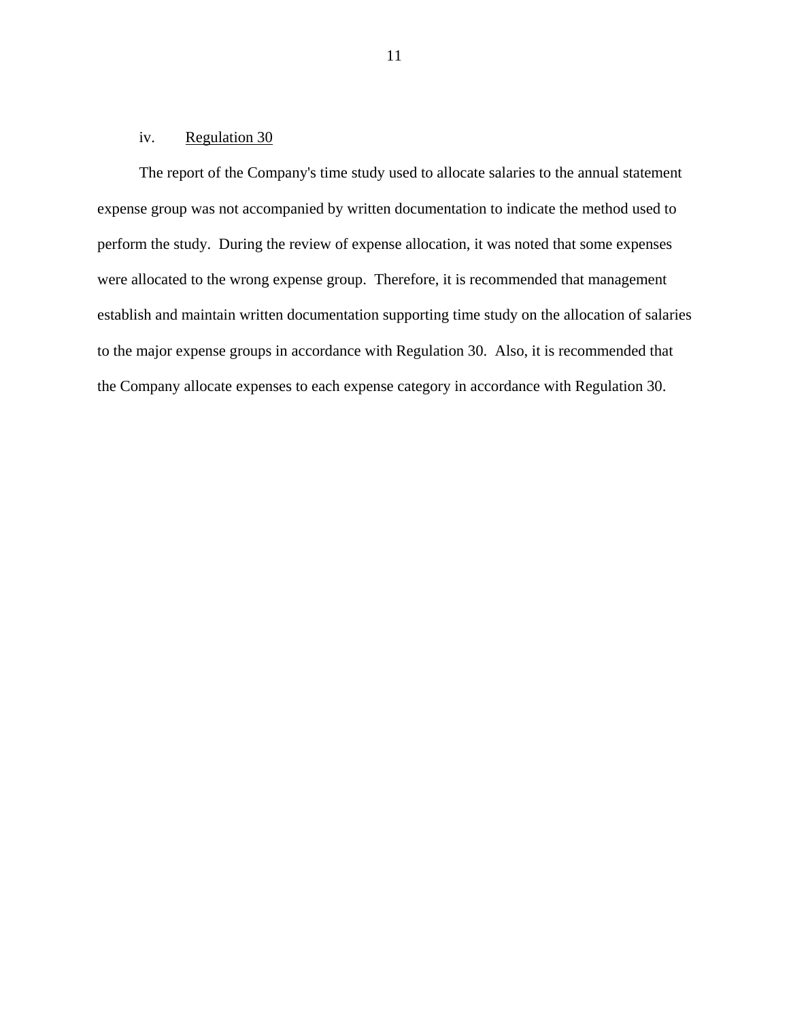## iv. Regulation 30

The report of the Company's time study used to allocate salaries to the annual statement expense group was not accompanied by written documentation to indicate the method used to perform the study. During the review of expense allocation, it was noted that some expenses were allocated to the wrong expense group. Therefore, it is recommended that management establish and maintain written documentation supporting time study on the allocation of salaries to the major expense groups in accordance with Regulation 30. Also, it is recommended that the Company allocate expenses to each expense category in accordance with Regulation 30.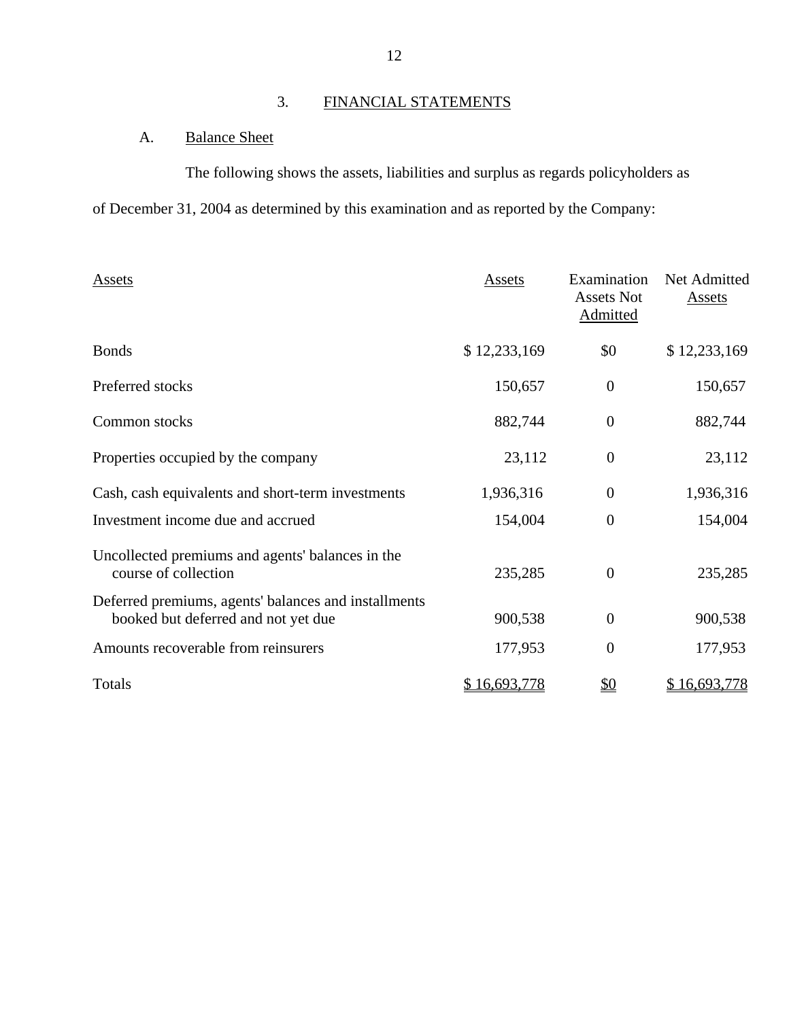# 3. FINANCIAL STATEMENTS

# A. Balance Sheet

The following shows the assets, liabilities and surplus as regards policyholders as

of December 31, 2004 as determined by this examination and as reported by the Company:

| Assets                                                                                      | Assets       | Examination<br><b>Assets Not</b><br>Admitted | Net Admitted<br>Assets |
|---------------------------------------------------------------------------------------------|--------------|----------------------------------------------|------------------------|
| <b>Bonds</b>                                                                                | \$12,233,169 | \$0                                          | \$12,233,169           |
| Preferred stocks                                                                            | 150,657      | $\boldsymbol{0}$                             | 150,657                |
| Common stocks                                                                               | 882,744      | $\overline{0}$                               | 882,744                |
| Properties occupied by the company                                                          | 23,112       | $\overline{0}$                               | 23,112                 |
| Cash, cash equivalents and short-term investments                                           | 1,936,316    | $\theta$                                     | 1,936,316              |
| Investment income due and accrued                                                           | 154,004      | $\boldsymbol{0}$                             | 154,004                |
| Uncollected premiums and agents' balances in the<br>course of collection                    | 235,285      | $\boldsymbol{0}$                             | 235,285                |
| Deferred premiums, agents' balances and installments<br>booked but deferred and not yet due | 900,538      | $\mathbf{0}$                                 | 900,538                |
| Amounts recoverable from reinsurers                                                         | 177,953      | $\overline{0}$                               | 177,953                |
| Totals                                                                                      | \$16,693,778 | $\underline{\$0}$                            | \$16,693,778           |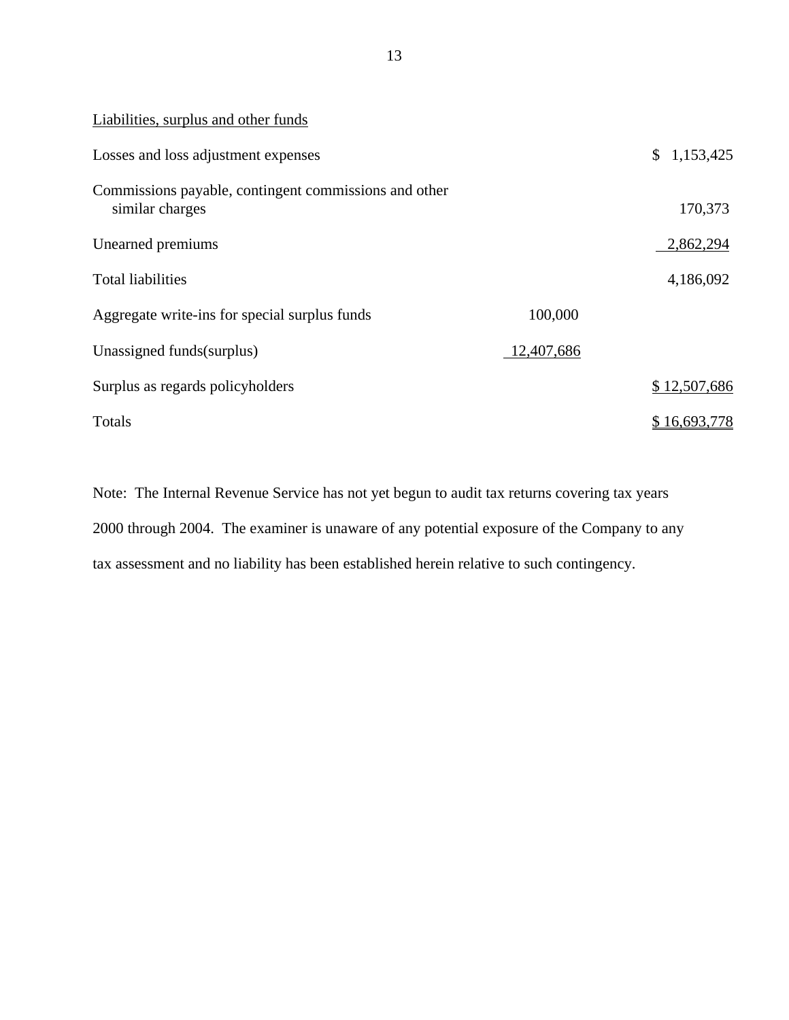| Liabilities, surplus and other funds                                     |            |              |
|--------------------------------------------------------------------------|------------|--------------|
| Losses and loss adjustment expenses                                      |            | \$1,153,425  |
| Commissions payable, contingent commissions and other<br>similar charges |            | 170,373      |
| Unearned premiums                                                        |            | 2,862,294    |
| <b>Total liabilities</b>                                                 |            | 4,186,092    |
| Aggregate write-ins for special surplus funds                            | 100,000    |              |
| Unassigned funds (surplus)                                               | 12,407,686 |              |
| Surplus as regards policyholders                                         |            | \$12,507,686 |
| Totals                                                                   |            | \$16,693,778 |

Note: The Internal Revenue Service has not yet begun to audit tax returns covering tax years 2000 through 2004. The examiner is unaware of any potential exposure of the Company to any tax assessment and no liability has been established herein relative to such contingency.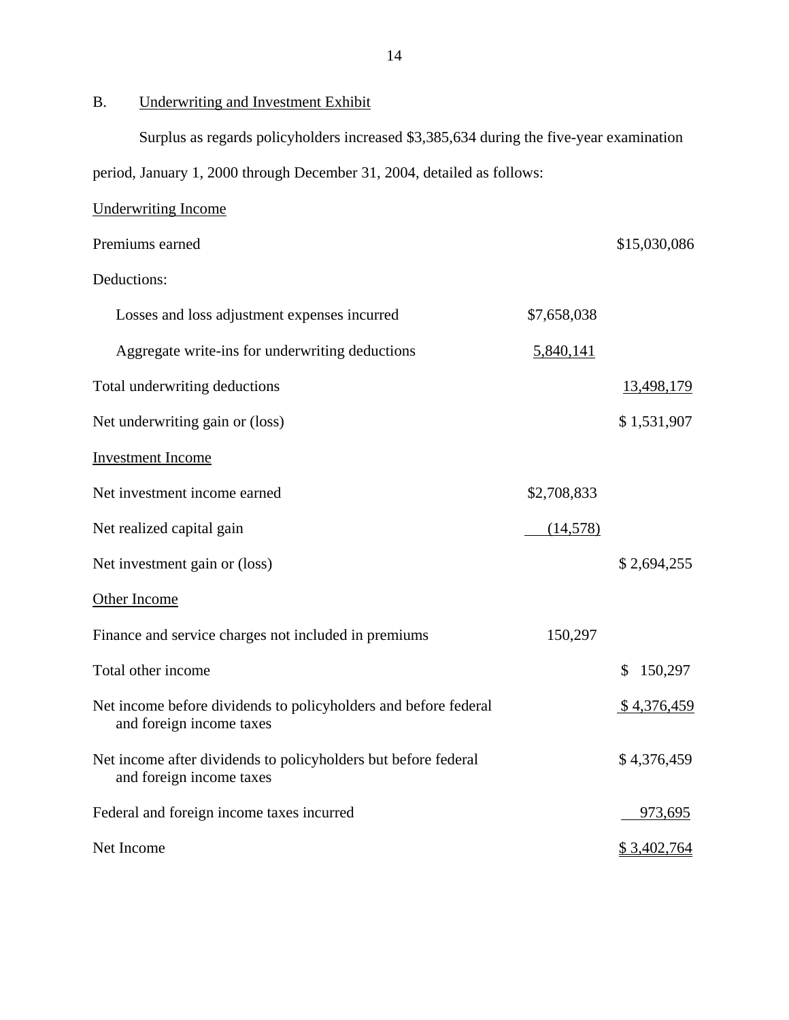B. Underwriting and Investment Exhibit

Surplus as regards policyholders increased \$3,385,634 during the five-year examination

period, January 1, 2000 through December 31, 2004, detailed as follows:

| <b>Underwriting Income</b>                                                                  |                  |               |
|---------------------------------------------------------------------------------------------|------------------|---------------|
| Premiums earned                                                                             |                  | \$15,030,086  |
| Deductions:                                                                                 |                  |               |
| Losses and loss adjustment expenses incurred                                                | \$7,658,038      |               |
| Aggregate write-ins for underwriting deductions                                             | <u>5,840,141</u> |               |
| Total underwriting deductions                                                               |                  | 13,498,179    |
| Net underwriting gain or (loss)                                                             |                  | \$1,531,907   |
| <b>Investment Income</b>                                                                    |                  |               |
| Net investment income earned                                                                | \$2,708,833      |               |
| Net realized capital gain                                                                   | (14,578)         |               |
| Net investment gain or (loss)                                                               |                  | \$2,694,255   |
| <b>Other Income</b>                                                                         |                  |               |
| Finance and service charges not included in premiums                                        | 150,297          |               |
| Total other income                                                                          |                  | 150,297<br>S. |
| Net income before dividends to policyholders and before federal<br>and foreign income taxes |                  | \$4,376,459   |
| Net income after dividends to policyholders but before federal<br>and foreign income taxes  |                  | \$4,376,459   |
| Federal and foreign income taxes incurred                                                   |                  | 973,695       |
| Net Income                                                                                  |                  | \$3,402,764   |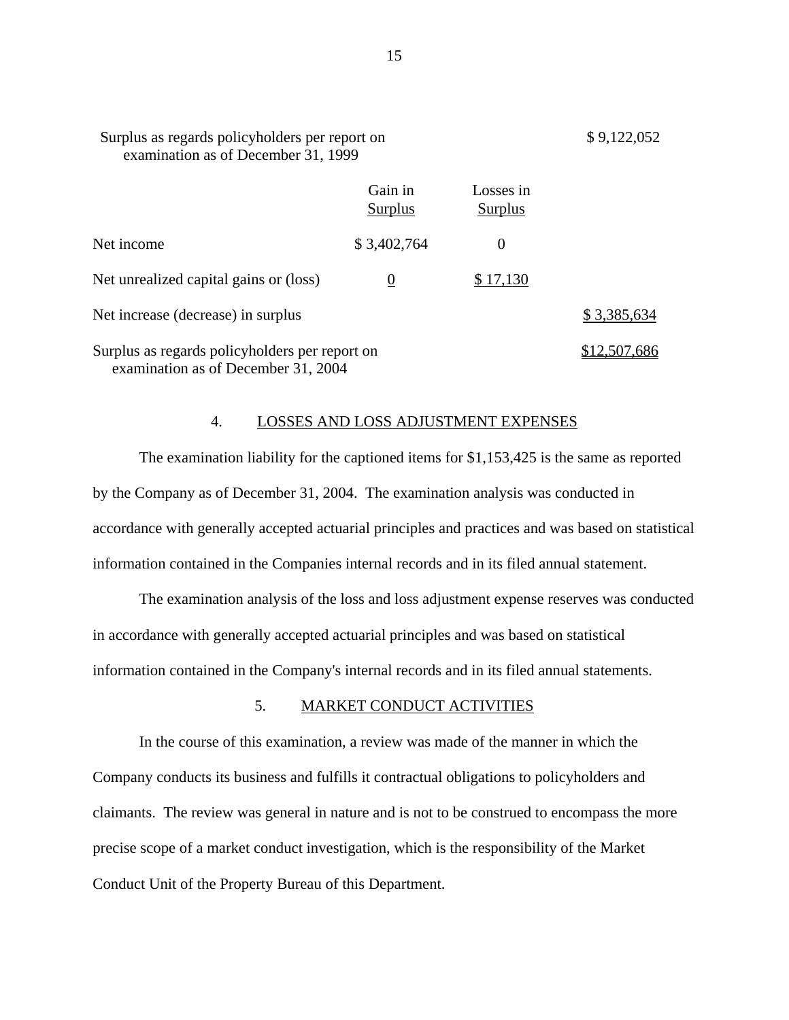| Surplus as regards policyholders per report on<br>examination as of December 31, 1999 |                      |              |
|---------------------------------------------------------------------------------------|----------------------|--------------|
| Gain in<br>Surplus                                                                    | Losses in<br>Surplus |              |
| \$3,402,764                                                                           | $\Omega$             |              |
| $\bf{0}$                                                                              | \$17,130             |              |
|                                                                                       |                      | \$3,385,634  |
| Surplus as regards policyholders per report on<br>examination as of December 31, 2004 |                      | \$12.507.686 |
|                                                                                       |                      |              |

#### 4. LOSSES AND LOSS ADJUSTMENT EXPENSES

The examination liability for the captioned items for \$1,153,425 is the same as reported by the Company as of December 31, 2004. The examination analysis was conducted in accordance with generally accepted actuarial principles and practices and was based on statistical information contained in the Companies internal records and in its filed annual statement.

The examination analysis of the loss and loss adjustment expense reserves was conducted in accordance with generally accepted actuarial principles and was based on statistical information contained in the Company's internal records and in its filed annual statements.

## 5. MARKET CONDUCT ACTIVITIES

In the course of this examination, a review was made of the manner in which the Company conducts its business and fulfills it contractual obligations to policyholders and claimants. The review was general in nature and is not to be construed to encompass the more precise scope of a market conduct investigation, which is the responsibility of the Market Conduct Unit of the Property Bureau of this Department.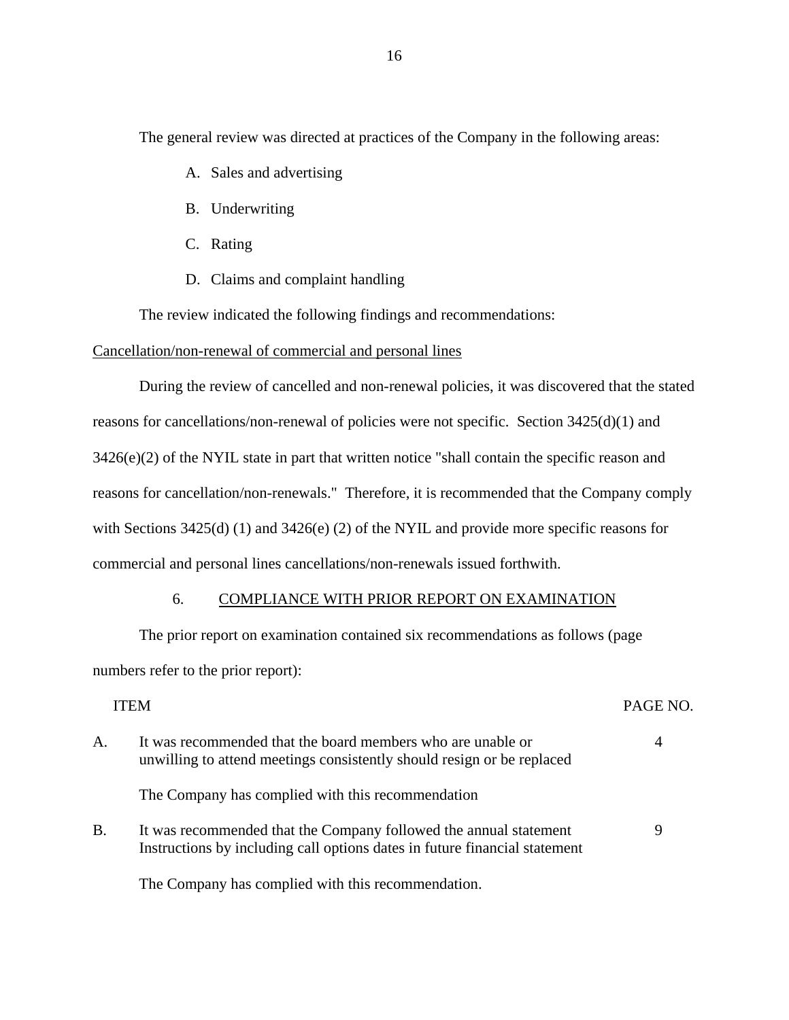<span id="page-17-0"></span>The general review was directed at practices of the Company in the following areas:

- A. Sales and advertising
- B. Underwriting
- C. Rating
- D. Claims and complaint handling

The review indicated the following findings and recommendations:

## Cancellation/non-renewal of commercial and personal lines

During the review of cancelled and non-renewal policies, it was discovered that the stated reasons for cancellations/non-renewal of policies were not specific. Section 3425(d)(1) and 3426(e)(2) of the NYIL state in part that written notice "shall contain the specific reason and reasons for cancellation/non-renewals." Therefore, it is recommended that the Company comply with Sections 3425(d) (1) and 3426(e) (2) of the NYIL and provide more specific reasons for commercial and personal lines cancellations/non-renewals issued forthwith.

## 6. COMPLIANCE WITH PRIOR REPORT ON EXAMINATION

The prior report on examination contained six recommendations as follows (page numbers refer to the prior report):

|           | <b>ITEM</b>                                                                                                                                     | PAGE NO.       |
|-----------|-------------------------------------------------------------------------------------------------------------------------------------------------|----------------|
| A.        | It was recommended that the board members who are unable or<br>unwilling to attend meetings consistently should resign or be replaced           | $\overline{4}$ |
|           | The Company has complied with this recommendation                                                                                               |                |
| <b>B.</b> | It was recommended that the Company followed the annual statement<br>Instructions by including call options dates in future financial statement | 9              |
|           |                                                                                                                                                 |                |

The Company has complied with this recommendation.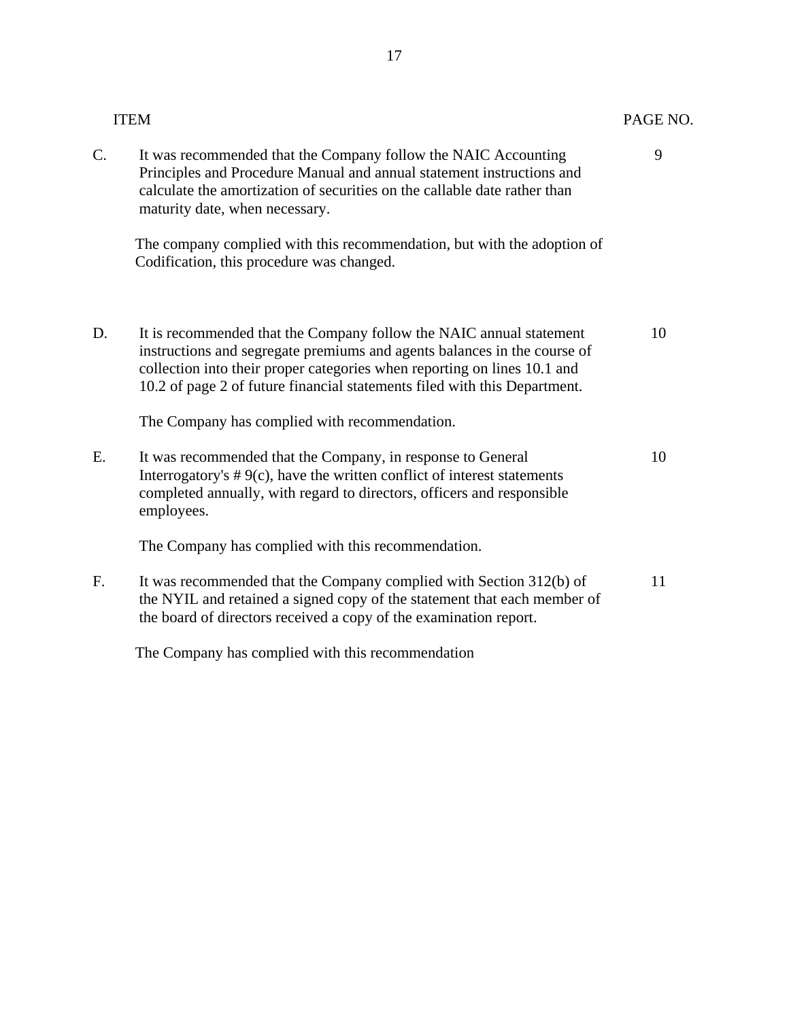|    | <b>ITEM</b>                                                                                                                                                                                                                                                                                              | PAGE NO. |
|----|----------------------------------------------------------------------------------------------------------------------------------------------------------------------------------------------------------------------------------------------------------------------------------------------------------|----------|
| C. | It was recommended that the Company follow the NAIC Accounting<br>Principles and Procedure Manual and annual statement instructions and<br>calculate the amortization of securities on the callable date rather than<br>maturity date, when necessary.                                                   | 9        |
|    | The company complied with this recommendation, but with the adoption of<br>Codification, this procedure was changed.                                                                                                                                                                                     |          |
| D. | It is recommended that the Company follow the NAIC annual statement<br>instructions and segregate premiums and agents balances in the course of<br>collection into their proper categories when reporting on lines 10.1 and<br>10.2 of page 2 of future financial statements filed with this Department. | 10       |
|    | The Company has complied with recommendation.                                                                                                                                                                                                                                                            |          |
| Ε. | It was recommended that the Company, in response to General<br>Interrogatory's $# 9(c)$ , have the written conflict of interest statements<br>completed annually, with regard to directors, officers and responsible<br>employees.                                                                       | 10       |
|    | The Company has complied with this recommendation.                                                                                                                                                                                                                                                       |          |
| F. | It was recommended that the Company complied with Section 312(b) of<br>the NYIL and retained a signed copy of the statement that each member of<br>the board of directors received a copy of the examination report.                                                                                     | 11       |
|    | The Company has complied with this recommendation                                                                                                                                                                                                                                                        |          |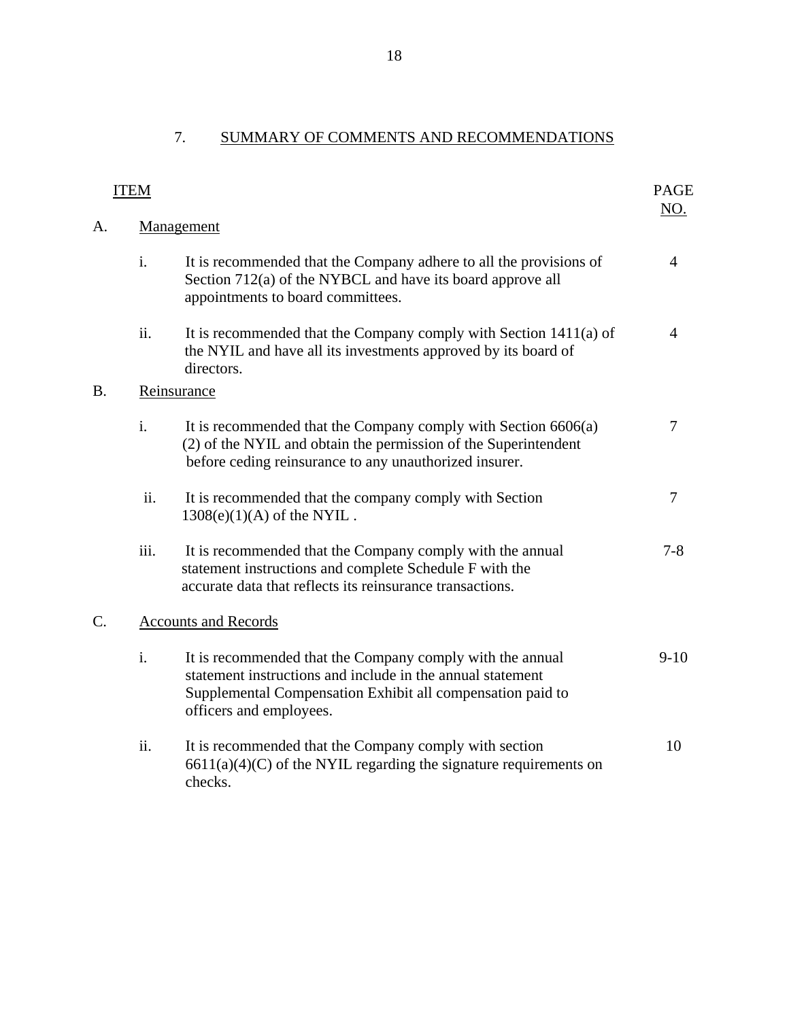# 7. SUMMARY OF COMMENTS AND RECOMMENDATIONS

| <b>ITEM</b> |                             |                                                                                                                                                                                                                  |                |  |
|-------------|-----------------------------|------------------------------------------------------------------------------------------------------------------------------------------------------------------------------------------------------------------|----------------|--|
| A.          | NO.<br>Management           |                                                                                                                                                                                                                  |                |  |
|             | i.                          | It is recommended that the Company adhere to all the provisions of<br>Section 712(a) of the NYBCL and have its board approve all<br>appointments to board committees.                                            | $\overline{4}$ |  |
|             | ii.                         | It is recommended that the Company comply with Section 1411(a) of<br>the NYIL and have all its investments approved by its board of<br>directors.                                                                | 4              |  |
| B.          | Reinsurance                 |                                                                                                                                                                                                                  |                |  |
|             | $\mathbf{i}$ .              | It is recommended that the Company comply with Section 6606(a)<br>(2) of the NYIL and obtain the permission of the Superintendent<br>before ceding reinsurance to any unauthorized insurer.                      | $\tau$         |  |
|             | ii.                         | It is recommended that the company comply with Section<br>$1308(e)(1)(A)$ of the NYIL.                                                                                                                           | $\overline{7}$ |  |
|             | iii.                        | It is recommended that the Company comply with the annual<br>statement instructions and complete Schedule F with the<br>accurate data that reflects its reinsurance transactions.                                | $7 - 8$        |  |
| C.          | <b>Accounts and Records</b> |                                                                                                                                                                                                                  |                |  |
|             | i.                          | It is recommended that the Company comply with the annual<br>statement instructions and include in the annual statement<br>Supplemental Compensation Exhibit all compensation paid to<br>officers and employees. | $9-10$         |  |
|             | ii.                         | It is recommended that the Company comply with section<br>$6611(a)(4)(C)$ of the NYIL regarding the signature requirements on<br>checks.                                                                         | 10             |  |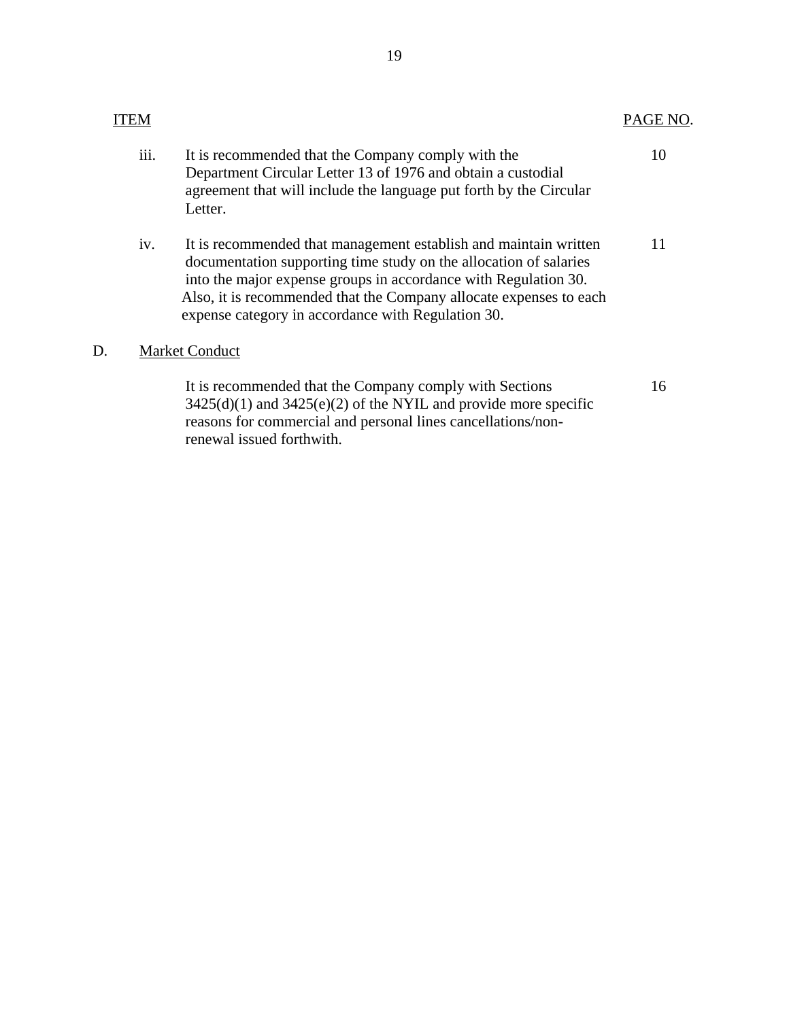|    | ITEM                  |                                                                                                                                                                                                                                                                                                                                      | PAGE NO. |
|----|-----------------------|--------------------------------------------------------------------------------------------------------------------------------------------------------------------------------------------------------------------------------------------------------------------------------------------------------------------------------------|----------|
|    | iii.                  | It is recommended that the Company comply with the<br>Department Circular Letter 13 of 1976 and obtain a custodial<br>agreement that will include the language put forth by the Circular<br>Letter.                                                                                                                                  | 10       |
|    | iv.                   | It is recommended that management establish and maintain written<br>documentation supporting time study on the allocation of salaries<br>into the major expense groups in accordance with Regulation 30.<br>Also, it is recommended that the Company allocate expenses to each<br>expense category in accordance with Regulation 30. | 11       |
| D. | <b>Market Conduct</b> |                                                                                                                                                                                                                                                                                                                                      |          |
|    |                       | It is recommended that the Company comply with Sections<br>$3425(d)(1)$ and $3425(e)(2)$ of the NYIL and provide more specific<br>reasons for commercial and personal lines cancellations/non-                                                                                                                                       | 16       |

renewal issued forthwith.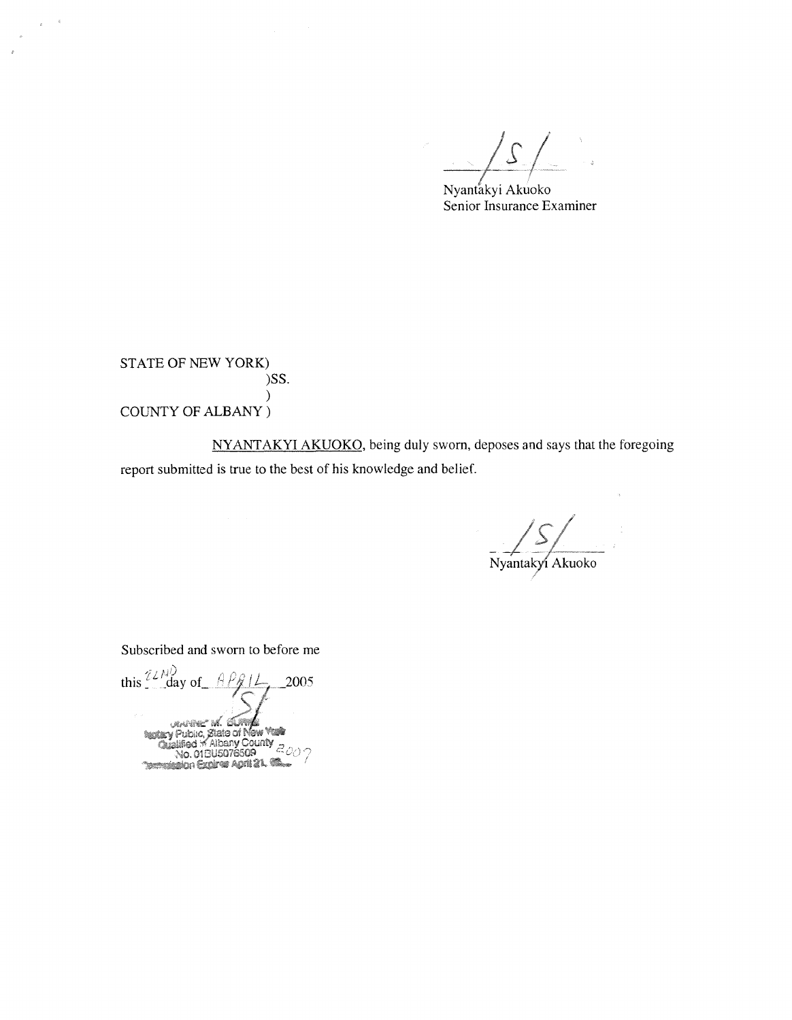*js* 

Nyantakyi Akuoko Senior Insurance Examiner

STATE OF NEW YORK) )SS. ) COUNTY OF ALBANY)

 $\epsilon$  –  $\epsilon$ 

 $\bar{\sigma}$ 

NYANTAKYI AKUOKO, being duly sworn, deposes and says that the foregoing report submitted is true to the best of his knowledge and belief.

Nyantakyi Akuoko

Subscribed and sworn to before me

this  $\frac{72\mu}{2}$  day of  $\frac{9 \beta}{12}$ 2005 <sub>URANNE</sub> M. BUR Public, State of New York<br>stiffed in Albany County<br>No. 018U5076509  $\alpha$  ratified **Technology Cooler Cooler 21, 68**